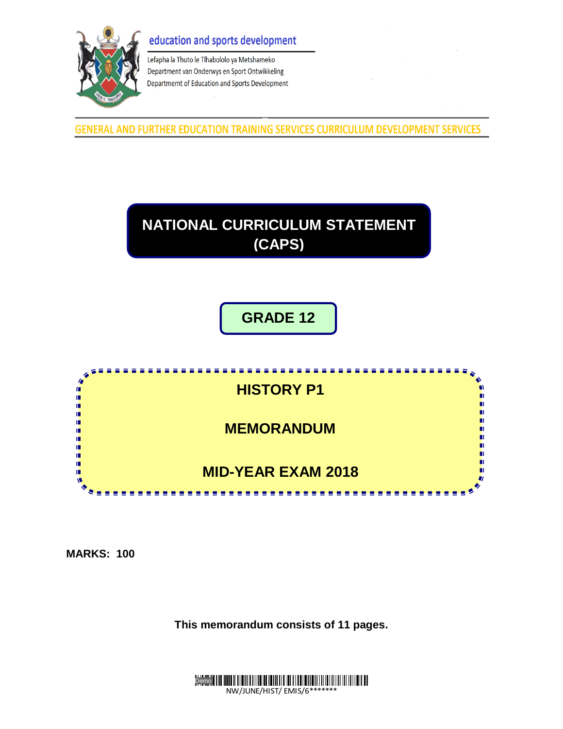# education and sports development



Lefapha la Thuto le Tlhabololo ya Metshameko Department van Onderwys en Sport Ontwikkeling Departmemt of Education and Sports Development

GENERAL AND FURTHER EDUCATION TRAINING SERVICES CURRICULUM DEVELOPMENT SERVICES



**GRADE 12**



**MARKS: 100**

**This memorandum consists of 11 pages.**

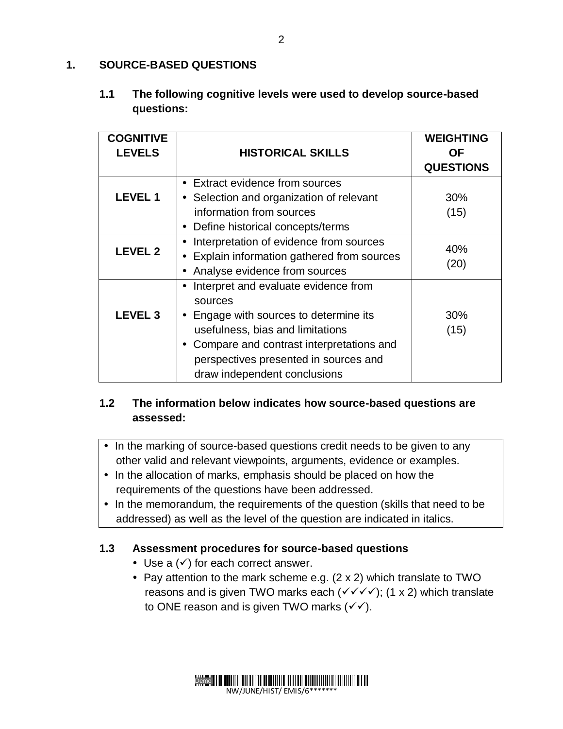## **1. SOURCE-BASED QUESTIONS**

## **1.1 The following cognitive levels were used to develop source-based questions:**

| <b>COGNITIVE</b> |                                             | <b>WEIGHTING</b> |
|------------------|---------------------------------------------|------------------|
| <b>LEVELS</b>    | <b>HISTORICAL SKILLS</b>                    | OF.              |
|                  |                                             | <b>QUESTIONS</b> |
|                  | • Extract evidence from sources             |                  |
| <b>LEVEL1</b>    | • Selection and organization of relevant    | 30%              |
|                  | information from sources                    | (15)             |
|                  | Define historical concepts/terms            |                  |
| <b>LEVEL 2</b>   | Interpretation of evidence from sources     | 40%              |
|                  | • Explain information gathered from sources | (20)             |
|                  | Analyse evidence from sources               |                  |
|                  | Interpret and evaluate evidence from        |                  |
|                  | sources                                     |                  |
| <b>LEVEL 3</b>   | • Engage with sources to determine its      | 30%              |
|                  | usefulness, bias and limitations            | (15)             |
|                  | Compare and contrast interpretations and    |                  |
|                  | perspectives presented in sources and       |                  |
|                  | draw independent conclusions                |                  |

# **1.2 The information below indicates how source-based questions are assessed:**

- In the marking of source-based questions credit needs to be given to any other valid and relevant viewpoints, arguments, evidence or examples.
- In the allocation of marks, emphasis should be placed on how the requirements of the questions have been addressed.
- In the memorandum, the requirements of the question (skills that need to be addressed) as well as the level of the question are indicated in italics.

## **1.3 Assessment procedures for source-based questions**

- Use a  $(\checkmark)$  for each correct answer.
- Pay attention to the mark scheme e.g. (2 x 2) which translate to TWO reasons and is given TWO marks each ( $\checkmark$   $\checkmark$   $\checkmark$ ); (1 x 2) which translate to ONE reason and is given TWO marks  $(\checkmark)$ .

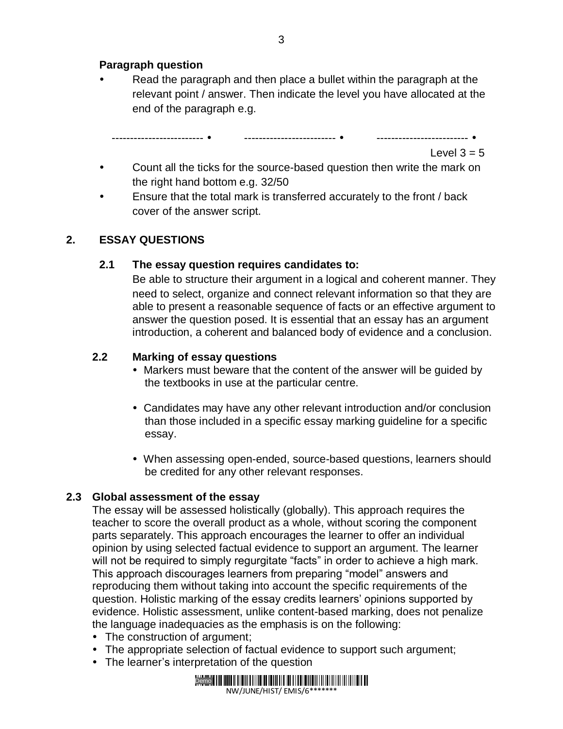### **Paragraph question**

 Read the paragraph and then place a bullet within the paragraph at the relevant point / answer. Then indicate the level you have allocated at the end of the paragraph e.g.

Level  $3 = 5$ 

- Count all the ticks for the source-based question then write the mark on the right hand bottom e.g. 32/50
- Ensure that the total mark is transferred accurately to the front / back cover of the answer script.

### **2. ESSAY QUESTIONS**

### **2.1 The essay question requires candidates to:**

------------------------- ------------------------- -------------------------

Be able to structure their argument in a logical and coherent manner. They need to select, organize and connect relevant information so that they are able to present a reasonable sequence of facts or an effective argument to answer the question posed. It is essential that an essay has an argument introduction, a coherent and balanced body of evidence and a conclusion.

### **2.2 Marking of essay questions**

- Markers must beware that the content of the answer will be quided by the textbooks in use at the particular centre.
- Candidates may have any other relevant introduction and/or conclusion than those included in a specific essay marking guideline for a specific essay.
- When assessing open-ended, source-based questions, learners should be credited for any other relevant responses.

## **2.3 Global assessment of the essay**

The essay will be assessed holistically (globally). This approach requires the teacher to score the overall product as a whole, without scoring the component parts separately. This approach encourages the learner to offer an individual opinion by using selected factual evidence to support an argument. The learner will not be required to simply regurgitate "facts" in order to achieve a high mark. This approach discourages learners from preparing "model" answers and reproducing them without taking into account the specific requirements of the question. Holistic marking of the essay credits learners' opinions supported by evidence. Holistic assessment, unlike content-based marking, does not penalize the language inadequacies as the emphasis is on the following:

- The construction of argument;
- The appropriate selection of factual evidence to support such argument;
- The learner's interpretation of the question

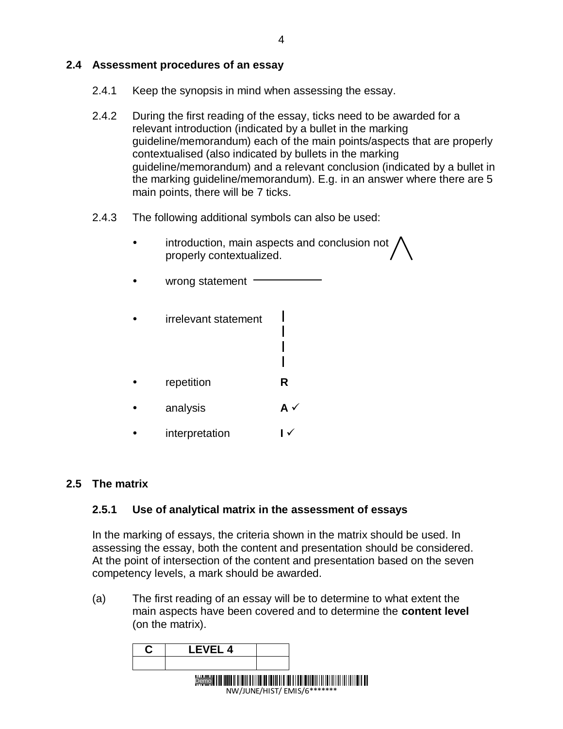### **2.4 Assessment procedures of an essay**

- 2.4.1 Keep the synopsis in mind when assessing the essay.
- 2.4.2 During the first reading of the essay, ticks need to be awarded for a relevant introduction (indicated by a bullet in the marking guideline/memorandum) each of the main points/aspects that are properly contextualised (also indicated by bullets in the marking guideline/memorandum) and a relevant conclusion (indicated by a bullet in the marking guideline/memorandum). E.g. in an answer where there are 5 main points, there will be 7 ticks.
- 2.4.3 The following additional symbols can also be used:
	- introduction, main aspects and conclusion not / properly contextualized.

I

- wrong statement  $-$
- irrelevant statement
- repetition **R**
- analysis **A**
- interpretation **I**

#### **2.5 The matrix**

### **2.5.1 Use of analytical matrix in the assessment of essays**

In the marking of essays, the criteria shown in the matrix should be used. In assessing the essay, both the content and presentation should be considered. At the point of intersection of the content and presentation based on the seven competency levels, a mark should be awarded.

(a) The first reading of an essay will be to determine to what extent the main aspects have been covered and to determine the **content level** (on the matrix).

| I FVFI 4 |                                                                             |
|----------|-----------------------------------------------------------------------------|
|          |                                                                             |
|          | Demo <b>                                 </b><br>NW/JUNE/HIST/EMIS/6******* |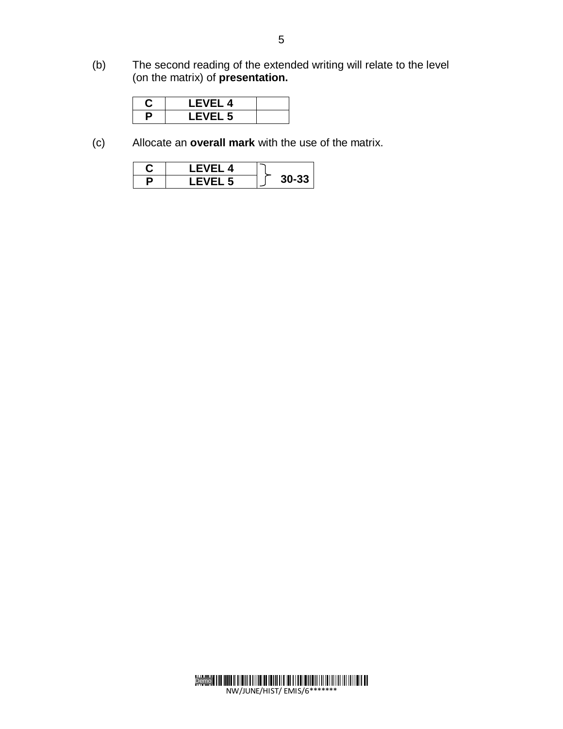(b) The second reading of the extended writing will relate to the level (on the matrix) of **presentation.**

|   | LEVEL 4        |  |
|---|----------------|--|
| ٠ | <b>LEVEL 5</b> |  |

(c) Allocate an **overall mark** with the use of the matrix.

| EVEL 4           |  |
|------------------|--|
| VEL <sub>5</sub> |  |

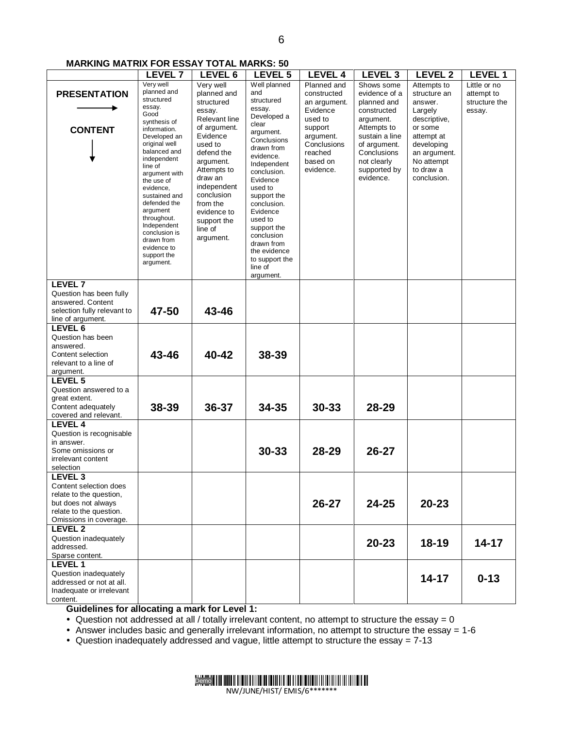#### **MARKING MATRIX FOR ESSAY TOTAL MARKS: 50**

|                                                                                                                                                     | <b>LEVEL 7</b>                                                                                                                                                                                                                                                                                                                                                       | LEVEL 6                                                                                                                                                                                                                                                      | LEVEL 5                                                                                                                                                                                                                                                                                                                      | <b>LEVEL 4</b>                                                                                                                               | LEVEL <sub>3</sub>                                                                                                                                                                 | <b>LEVEL 2</b>                                                                                                                                                     | <b>LEVEL 1</b>                                        |
|-----------------------------------------------------------------------------------------------------------------------------------------------------|----------------------------------------------------------------------------------------------------------------------------------------------------------------------------------------------------------------------------------------------------------------------------------------------------------------------------------------------------------------------|--------------------------------------------------------------------------------------------------------------------------------------------------------------------------------------------------------------------------------------------------------------|------------------------------------------------------------------------------------------------------------------------------------------------------------------------------------------------------------------------------------------------------------------------------------------------------------------------------|----------------------------------------------------------------------------------------------------------------------------------------------|------------------------------------------------------------------------------------------------------------------------------------------------------------------------------------|--------------------------------------------------------------------------------------------------------------------------------------------------------------------|-------------------------------------------------------|
| <b>PRESENTATION</b><br><b>CONTENT</b>                                                                                                               | Very well<br>planned and<br>structured<br>essay.<br>Good<br>synthesis of<br>information.<br>Developed an<br>original well<br>balanced and<br>independent<br>line of<br>argument with<br>the use of<br>evidence,<br>sustained and<br>defended the<br>argument<br>throughout.<br>Independent<br>conclusion is<br>drawn from<br>evidence to<br>support the<br>argument. | Very well<br>planned and<br>structured<br>essay.<br>Relevant line<br>of argument.<br>Evidence<br>used to<br>defend the<br>argument.<br>Attempts to<br>draw an<br>independent<br>conclusion<br>from the<br>evidence to<br>support the<br>line of<br>argument. | Well planned<br>and<br>structured<br>essay.<br>Developed a<br>clear<br>argument.<br>Conclusions<br>drawn from<br>evidence.<br>Independent<br>conclusion.<br>Evidence<br>used to<br>support the<br>conclusion.<br>Evidence<br>used to<br>support the<br>conclusion<br>drawn from<br>the evidence<br>to support the<br>line of | Planned and<br>constructed<br>an argument.<br>Evidence<br>used to<br>support<br>argument.<br>Conclusions<br>reached<br>based on<br>evidence. | Shows some<br>evidence of a<br>planned and<br>constructed<br>argument.<br>Attempts to<br>sustain a line<br>of argument.<br>Conclusions<br>not clearly<br>supported by<br>evidence. | Attempts to<br>structure an<br>answer.<br>Largely<br>descriptive,<br>or some<br>attempt at<br>developing<br>an argument.<br>No attempt<br>to draw a<br>conclusion. | Little or no<br>attempt to<br>structure the<br>essay. |
| <b>LEVEL 7</b><br>Question has been fully<br>answered. Content<br>selection fully relevant to                                                       | 47-50                                                                                                                                                                                                                                                                                                                                                                | 43-46                                                                                                                                                                                                                                                        | argument.                                                                                                                                                                                                                                                                                                                    |                                                                                                                                              |                                                                                                                                                                                    |                                                                                                                                                                    |                                                       |
| line of argument.                                                                                                                                   |                                                                                                                                                                                                                                                                                                                                                                      |                                                                                                                                                                                                                                                              |                                                                                                                                                                                                                                                                                                                              |                                                                                                                                              |                                                                                                                                                                                    |                                                                                                                                                                    |                                                       |
| LEVEL 6<br>Question has been<br>answered.<br>Content selection<br>relevant to a line of<br>argument.                                                | 43-46                                                                                                                                                                                                                                                                                                                                                                | 40-42                                                                                                                                                                                                                                                        | 38-39                                                                                                                                                                                                                                                                                                                        |                                                                                                                                              |                                                                                                                                                                                    |                                                                                                                                                                    |                                                       |
| <b>LEVEL 5</b><br>Question answered to a<br>great extent.<br>Content adequately<br>covered and relevant.                                            | 38-39                                                                                                                                                                                                                                                                                                                                                                | 36-37                                                                                                                                                                                                                                                        | 34-35                                                                                                                                                                                                                                                                                                                        | $30 - 33$                                                                                                                                    | 28-29                                                                                                                                                                              |                                                                                                                                                                    |                                                       |
| LEVEL 4<br>Question is recognisable<br>in answer.<br>Some omissions or<br>irrelevant content<br>selection                                           |                                                                                                                                                                                                                                                                                                                                                                      |                                                                                                                                                                                                                                                              | $30 - 33$                                                                                                                                                                                                                                                                                                                    | 28-29                                                                                                                                        | $26 - 27$                                                                                                                                                                          |                                                                                                                                                                    |                                                       |
| LEVEL <sub>3</sub><br>Content selection does<br>relate to the question,<br>but does not always<br>relate to the question.<br>Omissions in coverage. |                                                                                                                                                                                                                                                                                                                                                                      |                                                                                                                                                                                                                                                              |                                                                                                                                                                                                                                                                                                                              | $26 - 27$                                                                                                                                    | $24 - 25$                                                                                                                                                                          | $20 - 23$                                                                                                                                                          |                                                       |
| LEVEL <sub>2</sub><br>Question inadequately<br>addressed.<br>Sparse content.                                                                        |                                                                                                                                                                                                                                                                                                                                                                      |                                                                                                                                                                                                                                                              |                                                                                                                                                                                                                                                                                                                              |                                                                                                                                              | $20 - 23$                                                                                                                                                                          | $18 - 19$                                                                                                                                                          | $14 - 17$                                             |
| <b>LEVEL 1</b><br>Question inadequately<br>addressed or not at all.<br>Inadequate or irrelevant<br>content.                                         |                                                                                                                                                                                                                                                                                                                                                                      |                                                                                                                                                                                                                                                              |                                                                                                                                                                                                                                                                                                                              |                                                                                                                                              |                                                                                                                                                                                    | $14 - 17$                                                                                                                                                          | $0 - 13$                                              |

**Guidelines for allocating a mark for Level 1:**

Question not addressed at all / totally irrelevant content, no attempt to structure the essay = 0

Answer includes basic and generally irrelevant information, no attempt to structure the essay = 1-6

Question inadequately addressed and vague, little attempt to structure the essay = 7-13



NW/JUNE/HIST/ EMIS/6\*\*\*\*\*\*\*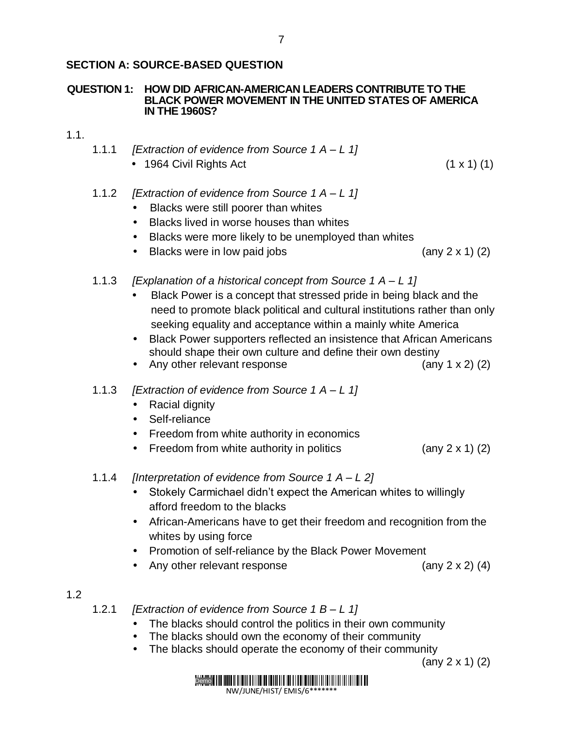#### **QUESTION 1: HOW DID AFRICAN-AMERICAN LEADERS CONTRIBUTE TO THE BLACK POWER MOVEMENT IN THE UNITED STATES OF AMERICA IN THE 1960S?**

- 1.1.
- 1.1.1 *[Extraction of evidence from Source 1 A – L 1]*
	- $\bullet$  1964 Civil Rights Act (1 x 1) (1)
- 1.1.2 *[Extraction of evidence from Source 1 A – L 1]*
	- Blacks were still poorer than whites
	- Blacks lived in worse houses than whites
	- Blacks were more likely to be unemployed than whites
	- Blacks were in low paid jobs (any 2 x 1) (2)
- 1.1.3 *[Explanation of a historical concept from Source 1 A – L 1]*
	- Black Power is a concept that stressed pride in being black and the need to promote black political and cultural institutions rather than only seeking equality and acceptance within a mainly white America
	- Black Power supporters reflected an insistence that African Americans should shape their own culture and define their own destiny
	- Any other relevant response (any 1 x 2) (2)
- 1.1.3 *[Extraction of evidence from Source 1 A – L 1]*
	- Racial dignity
	- Self-reliance
	- Freedom from white authority in economics
	- Freedom from white authority in politics  $(any 2 x 1) (2)$
- 1.1.4 *[Interpretation of evidence from Source 1 A – L 2]*
	- Stokely Carmichael didn't expect the American whites to willingly afford freedom to the blacks
	- African-Americans have to get their freedom and recognition from the whites by using force
	- Promotion of self-reliance by the Black Power Movement
	- Any other relevant response (any 2 x 2) (4)
- 1.2

1.2.1 *[Extraction of evidence from Source 1 B – L 1]*

- The blacks should control the politics in their own community
- The blacks should own the economy of their community
- The blacks should operate the economy of their community

(any 2 x 1) (2)



NW/JUNE/HIST/ EMIS/6\*\*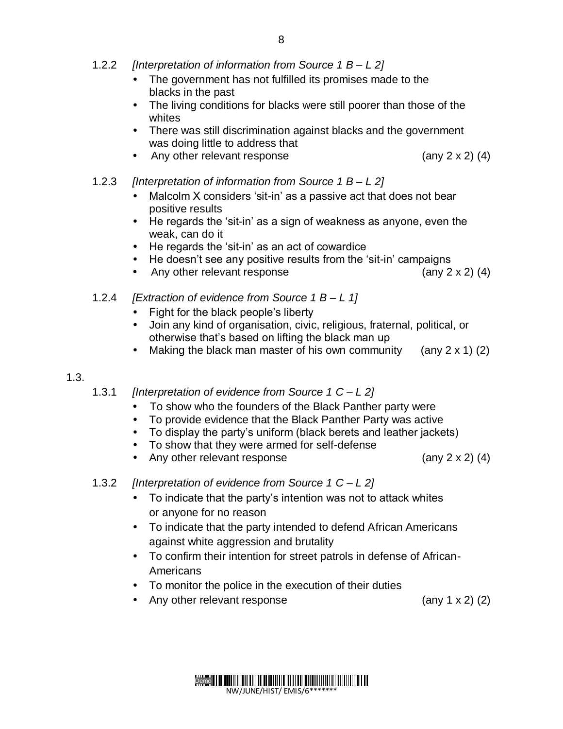- 1.2.2 *[Interpretation of information from Source 1 B – L 2]*
	- The government has not fulfilled its promises made to the blacks in the past
	- The living conditions for blacks were still poorer than those of the whites
	- There was still discrimination against blacks and the government was doing little to address that
	- Any other relevant response  $(any 2 x 2) (4)$
- 1.2.3 *[Interpretation of information from Source 1 B – L 2]*
	- Malcolm X considers 'sit-in' as a passive act that does not bear positive results
	- He regards the 'sit-in' as a sign of weakness as anyone, even the weak, can do it
	- He regards the 'sit-in' as an act of cowardice
	- He doesn't see any positive results from the 'sit-in' campaigns
	- Any other relevant response  $($ any 2 x 2 $)$  (4)
- 1.2.4 *[Extraction of evidence from Source 1 B – L 1]*
	- Fight for the black people's liberty
	- Join any kind of organisation, civic, religious, fraternal, political, or otherwise that's based on lifting the black man up
	- Making the black man master of his own community (any  $2 \times 1$ ) (2)

# 1.3.

1.3.1 *[Interpretation of evidence from Source 1 C – L 2]*

- To show who the founders of the Black Panther party were
- To provide evidence that the Black Panther Party was active
- To display the party's uniform (black berets and leather jackets)
- To show that they were armed for self-defense
- Any other relevant response  $(any 2 x 2) (4)$
- 1.3.2 *[Interpretation of evidence from Source 1 C – L 2]*
	- To indicate that the party's intention was not to attack whites or anyone for no reason
	- To indicate that the party intended to defend African Americans against white aggression and brutality
	- To confirm their intention for street patrols in defense of African-**Americans**
	- To monitor the police in the execution of their duties
	- Any other relevant response (any 1 x 2) (2)

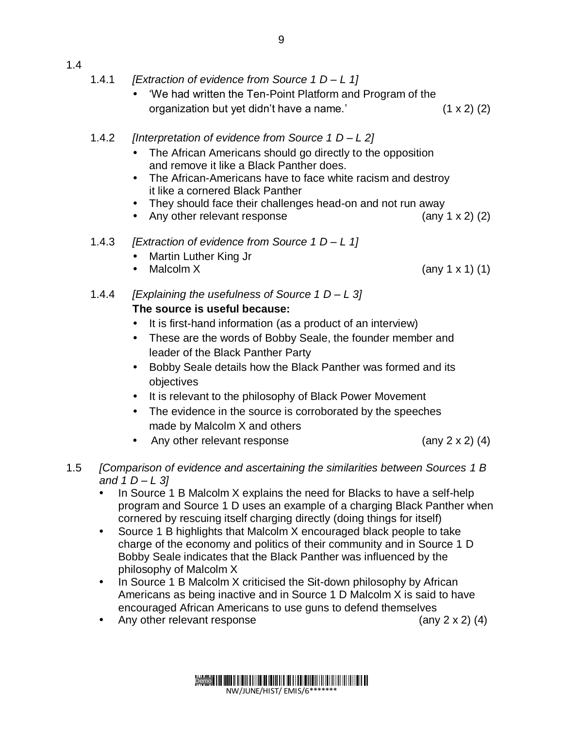# 1.4

- 1.4.1 *[Extraction of evidence from Source 1 D – L 1]*
	- 'We had written the Ten-Point Platform and Program of the organization but yet didn't have a name.'  $(1 \times 2)$  (2)
- 1.4.2 *[Interpretation of evidence from Source 1 D – L 2]*
	- The African Americans should go directly to the opposition and remove it like a Black Panther does.
	- The African-Americans have to face white racism and destroy it like a cornered Black Panther
	- They should face their challenges head-on and not run away
	- Any other relevant response (any 1 x 2) (2)
- 1.4.3 *[Extraction of evidence from Source 1 D – L 1]*
	- Martin Luther King Jr
	- Malcolm  $X$  (any 1 x 1) (1)
- 1.4.4 *[Explaining the usefulness of Source 1 D – L 3]*  **The source is useful because:**
	- It is first-hand information (as a product of an interview)
	- These are the words of Bobby Seale, the founder member and leader of the Black Panther Party
	- Bobby Seale details how the Black Panther was formed and its objectives
	- It is relevant to the philosophy of Black Power Movement
	- The evidence in the source is corroborated by the speeches made by Malcolm X and others
	- Any other relevant response  $(any 2 x 2) (4)$

- 1.5 *[Comparison of evidence and ascertaining the similarities between Sources 1 B and 1 D – L 3]* 
	- In Source 1 B Malcolm X explains the need for Blacks to have a self-help program and Source 1 D uses an example of a charging Black Panther when cornered by rescuing itself charging directly (doing things for itself)
	- Source 1 B highlights that Malcolm X encouraged black people to take charge of the economy and politics of their community and in Source 1 D Bobby Seale indicates that the Black Panther was influenced by the philosophy of Malcolm X
	- In Source 1 B Malcolm X criticised the Sit-down philosophy by African Americans as being inactive and in Source 1 D Malcolm X is said to have encouraged African Americans to use guns to defend themselves
	- Any other relevant response  $(4)$

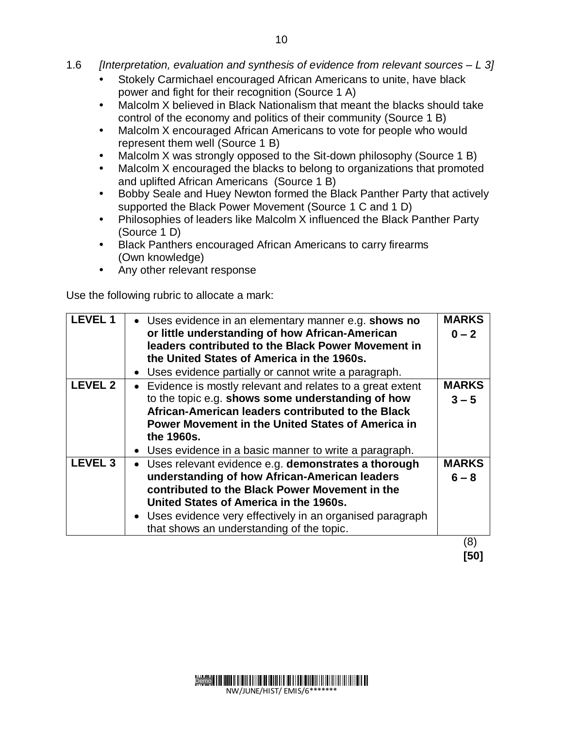- 1.6 *[Interpretation, evaluation and synthesis of evidence from relevant sources – L 3]*
	- Stokely Carmichael encouraged African Americans to unite, have black power and fight for their recognition (Source 1 A)
	- Malcolm X believed in Black Nationalism that meant the blacks should take control of the economy and politics of their community (Source 1 B)
	- Malcolm X encouraged African Americans to vote for people who would represent them well (Source 1 B)
	- Malcolm X was strongly opposed to the Sit-down philosophy (Source 1 B)
	- Malcolm X encouraged the blacks to belong to organizations that promoted and uplifted African Americans (Source 1 B)
	- Bobby Seale and Huey Newton formed the Black Panther Party that actively supported the Black Power Movement (Source 1 C and 1 D)
	- Philosophies of leaders like Malcolm X influenced the Black Panther Party (Source 1 D)
	- Black Panthers encouraged African Americans to carry firearms (Own knowledge)
	- Any other relevant response

Use the following rubric to allocate a mark:

| <b>LEVEL 1</b> | • Uses evidence in an elementary manner e.g. shows no<br>or little understanding of how African-American<br>leaders contributed to the Black Power Movement in<br>the United States of America in the 1960s.<br>• Uses evidence partially or cannot write a paragraph.                                        | <b>MARKS</b><br>$0 - 2$ |
|----------------|---------------------------------------------------------------------------------------------------------------------------------------------------------------------------------------------------------------------------------------------------------------------------------------------------------------|-------------------------|
| <b>LEVEL 2</b> | • Evidence is mostly relevant and relates to a great extent<br>to the topic e.g. shows some understanding of how<br>African-American leaders contributed to the Black<br><b>Power Movement in the United States of America in</b><br>the 1960s.<br>• Uses evidence in a basic manner to write a paragraph.    | <b>MARKS</b><br>$3 - 5$ |
| <b>LEVEL 3</b> | • Uses relevant evidence e.g. demonstrates a thorough<br>understanding of how African-American leaders<br>contributed to the Black Power Movement in the<br>United States of America in the 1960s.<br>• Uses evidence very effectively in an organised paragraph<br>that shows an understanding of the topic. | <b>MARKS</b><br>$6 - 8$ |
|                |                                                                                                                                                                                                                                                                                                               | 8)                      |